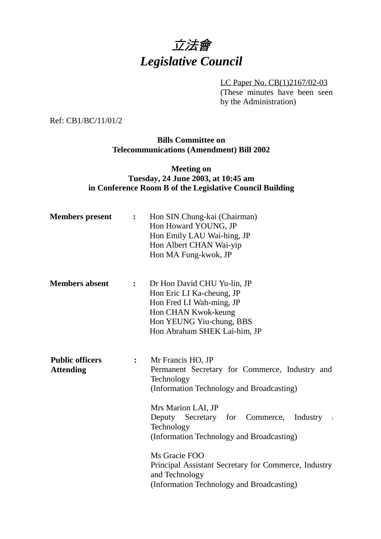# 立法會 *Legislative Council*

LC Paper No. CB(1)2167/02-03 (These minutes have been seen by the Administration)

Ref: CB1/BC/11/01/2

**Bills Committee on Telecommunications (Amendment) Bill 2002**

## **Meeting on Tuesday, 24 June 2003, at 10:45 am in Conference Room B of the Legislative Council Building**

| <b>Members</b> present                     | $\ddot{\cdot}$   | Hon SIN Chung-kai (Chairman)<br>Hon Howard YOUNG, JP<br>Hon Emily LAU Wai-hing, JP<br>Hon Albert CHAN Wai-yip<br>Hon MA Fung-kwok, JP                                                                                                                                                                                                                                                                                  |
|--------------------------------------------|------------------|------------------------------------------------------------------------------------------------------------------------------------------------------------------------------------------------------------------------------------------------------------------------------------------------------------------------------------------------------------------------------------------------------------------------|
| <b>Members absent</b>                      | $\ddot{\bullet}$ | Dr Hon David CHU Yu-lin, JP<br>Hon Eric LI Ka-cheung, JP<br>Hon Fred LI Wah-ming, JP<br>Hon CHAN Kwok-keung<br>Hon YEUNG Yiu-chung, BBS<br>Hon Abraham SHEK Lai-him, JP                                                                                                                                                                                                                                                |
| <b>Public officers</b><br><b>Attending</b> | :                | Mr Francis HO, JP<br>Permanent Secretary for Commerce, Industry and<br>Technology<br>(Information Technology and Broadcasting)<br>Mrs Marion LAI, JP<br>Deputy Secretary for Commerce,<br>Industry<br>$\mathcal{L}$<br>Technology<br>(Information Technology and Broadcasting)<br>Ms Gracie FOO<br>Principal Assistant Secretary for Commerce, Industry<br>and Technology<br>(Information Technology and Broadcasting) |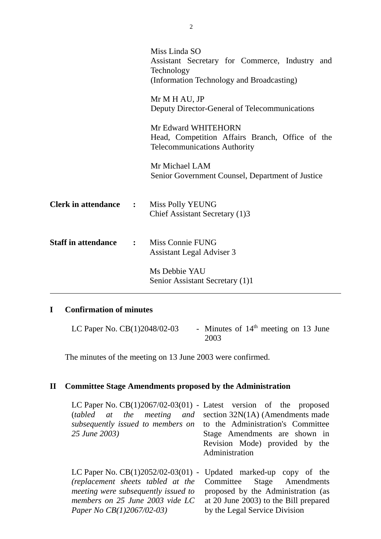|                              |              | Miss Linda SO<br>Assistant Secretary for Commerce, Industry and<br>Technology<br>(Information Technology and Broadcasting) |  |
|------------------------------|--------------|----------------------------------------------------------------------------------------------------------------------------|--|
|                              |              | Mr M H AU, JP<br>Deputy Director-General of Telecommunications                                                             |  |
|                              |              | Mr Edward WHITEHORN<br>Head, Competition Affairs Branch, Office of the<br><b>Telecommunications Authority</b>              |  |
|                              |              | Mr Michael LAM<br>Senior Government Counsel, Department of Justice                                                         |  |
| <b>Clerk in attendance :</b> |              | Miss Polly YEUNG<br>Chief Assistant Secretary (1)3                                                                         |  |
| <b>Staff in attendance</b>   | $\mathbf{L}$ | Miss Connie FUNG<br><b>Assistant Legal Adviser 3</b>                                                                       |  |
|                              |              | Ms Debbie YAU<br>Senior Assistant Secretary (1)1                                                                           |  |

## **I Confirmation of minutes**

LC Paper No.  $CB(1)2048/02-03$  - Minutes of  $14<sup>th</sup>$  meeting on 13 June 2003

**1** The minutes of the meeting on 13 June 2003 were confirmed.

## **II Committee Stage Amendments proposed by the Administration**

| LC Paper No. $CB(1)2067/02-03(01)$ - Latest version of the proposed |                                       |
|---------------------------------------------------------------------|---------------------------------------|
| (tabled at the meeting and                                          | section $32N(1A)$ (Amendments made    |
| subsequently issued to members on                                   | to the Administration's Committee     |
| 25 June 2003)                                                       | Stage Amendments are shown in         |
|                                                                     | Revision Mode) provided by the        |
|                                                                     | Administration                        |
|                                                                     |                                       |
| LC Paper No. $CB(1)2052/02-03(01)$ - Updated marked-up copy of the  |                                       |
| (replacement sheets tabled at the                                   | Committee Stage Amendments            |
| meeting were subsequently issued to                                 | proposed by the Administration (as    |
| members on 25 June 2003 vide LC                                     | at 20 June 2003) to the Bill prepared |
| Paper No CB(1)2067/02-03)                                           | by the Legal Service Division         |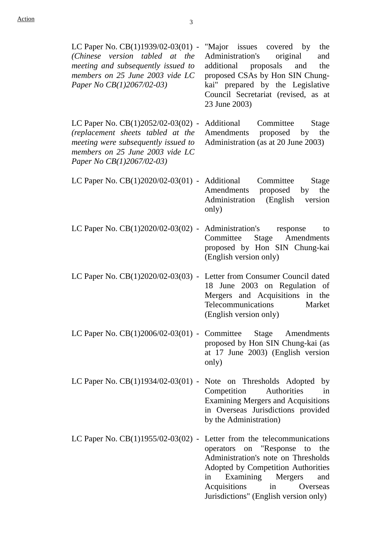*(Chinese version tabled at the meeting and subsequently issued to members on 25 June 2003 vide LC*

*Paper No CB(1)2067/02-03)*

LC Paper No. CB(1)1939/02-03(01) - "Major issues covered by the Administration's original and additional proposals and the proposed CSAs by Hon SIN Chungkai" prepared by the Legislative Council Secretariat (revised, as at 23 June 2003)

LC Paper No. CB(1)2052/02-03(02) - Additional Committee Stage *(replacement sheets tabled at the meeting were subsequently issued to members on 25 June 2003 vide LC Paper No CB(1)2067/02-03)* Amendments proposed by the Administration (as at 20 June 2003)

- LC Paper No. CB(1)2020/02-03(01) Additional Committee Stage Amendments proposed by the Administration (English version only)
- LC Paper No. CB(1)2020/02-03(02) Administration's response to Committee Stage Amendments proposed by Hon SIN Chung-kai (English version only)
- LC Paper No. CB(1)2020/02-03(03) Letter from Consumer Council dated 18 June 2003 on Regulation of Mergers and Acquisitions in the Telecommunications Market (English version only)
- LC Paper No. CB(1)2006/02-03(01) Committee Stage Amendments proposed by Hon SIN Chung-kai (as at 17 June 2003) (English version only)
- LC Paper No. CB(1)1934/02-03(01) Note on Thresholds Adopted by Competition Authorities in Examining Mergers and Acquisitions in Overseas Jurisdictions provided by the Administration)
- LC Paper No. CB(1)1955/02-03(02) Letter from the telecommunications operators on "Response to the Administration's note on Thresholds Adopted by Competition Authorities in Examining Mergers and Acquisitions in Overseas Jurisdictions" (English version only)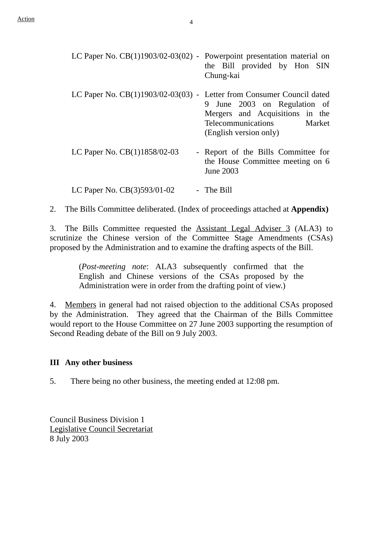| LC Paper No. $CB(1)1903/02-03(02)$ - Powerpoint presentation material on | the Bill provided by Hon SIN<br>Chung-kai                                                                                 |
|--------------------------------------------------------------------------|---------------------------------------------------------------------------------------------------------------------------|
| LC Paper No. $CB(1)1903/02-03(03)$ - Letter from Consumer Council dated  | June 2003 on Regulation of<br>9<br>Mergers and Acquisitions in the<br>Telecommunications Market<br>(English version only) |
| LC Paper No. $CB(1)1858/02-03$                                           | - Report of the Bills Committee for<br>the House Committee meeting on 6<br>June 2003                                      |
| LC Paper No. $CB(3)593/01-02$                                            | - The Bill                                                                                                                |

2. The Bills Committee deliberated. (Index of proceedings attached at **Appendix)**

3. The Bills Committee requested the Assistant Legal Adviser 3 (ALA3) to scrutinize the Chinese version of the Committee Stage Amendments (CSAs) proposed by the Administration and to examine the drafting aspects of the Bill.

> (*Post-meeting note*: ALA3 subsequently confirmed that the English and Chinese versions of the CSAs proposed by the Administration were in order from the drafting point of view.)

4. Members in general had not raised objection to the additional CSAs proposed by the Administration. They agreed that the Chairman of the Bills Committee would report to the House Committee on 27 June 2003 supporting the resumption of Second Reading debate of the Bill on 9 July 2003.

#### **III Any other business**

5. There being no other business, the meeting ended at 12:08 pm.

Council Business Division 1 Legislative Council Secretariat 8 July 2003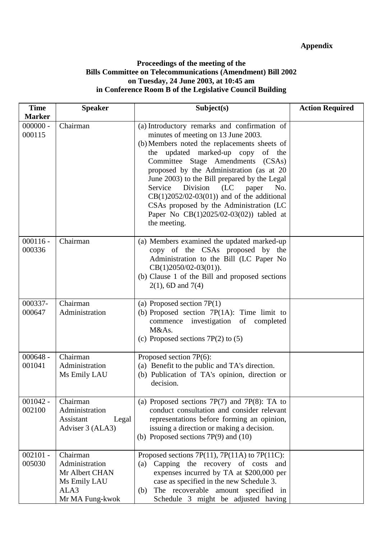### **Appendix**

### **Proceedings of the meeting of the Bills Committee on Telecommunications (Amendment) Bill 2002 on Tuesday, 24 June 2003, at 10:45 am in Conference Room B of the Legislative Council Building**

| <b>Time</b>                           | <b>Speaker</b>                                                                          | Subject(s)                                                                                                                                                                                                                                                                                                                                                                                                                                                                                                        | <b>Action Required</b> |
|---------------------------------------|-----------------------------------------------------------------------------------------|-------------------------------------------------------------------------------------------------------------------------------------------------------------------------------------------------------------------------------------------------------------------------------------------------------------------------------------------------------------------------------------------------------------------------------------------------------------------------------------------------------------------|------------------------|
| <b>Marker</b><br>$000000 -$<br>000115 | Chairman                                                                                | (a) Introductory remarks and confirmation of<br>minutes of meeting on 13 June 2003.<br>(b) Members noted the replacements sheets of<br>the updated marked-up copy<br>of the<br>Committee Stage Amendments (CSAs)<br>proposed by the Administration (as at 20<br>June 2003) to the Bill prepared by the Legal<br>Service<br>Division<br>(LC)<br>paper<br>No.<br>$CB(1)2052/02-03(01))$ and of the additional<br>CSAs proposed by the Administration (LC<br>Paper No CB(1)2025/02-03(02)) tabled at<br>the meeting. |                        |
| $000116 -$<br>000336                  | Chairman                                                                                | (a) Members examined the updated marked-up<br>copy of the CSAs proposed by the<br>Administration to the Bill (LC Paper No<br>$CB(1)2050/02-03(01)).$<br>(b) Clause 1 of the Bill and proposed sections<br>$2(1)$ , 6D and 7(4)                                                                                                                                                                                                                                                                                    |                        |
| 000337-<br>000647                     | Chairman<br>Administration                                                              | (a) Proposed section $7P(1)$<br>(b) Proposed section $7P(1A)$ : Time limit to<br>commence investigation of completed<br>M&As.<br>(c) Proposed sections $7P(2)$ to (5)                                                                                                                                                                                                                                                                                                                                             |                        |
| $000648 -$<br>001041                  | Chairman<br>Administration<br>Ms Emily LAU                                              | Proposed section 7P(6):<br>(a) Benefit to the public and TA's direction.<br>(b) Publication of TA's opinion, direction or<br>decision.                                                                                                                                                                                                                                                                                                                                                                            |                        |
| $001042 -$<br>002100                  | Chairman<br>Administration<br>Assistant<br>Legal<br>Adviser 3 (ALA3)                    | (a) Proposed sections $7P(7)$ and $7P(8)$ : TA to<br>conduct consultation and consider relevant<br>representations before forming an opinion,<br>issuing a direction or making a decision.<br>(b) Proposed sections $7P(9)$ and $(10)$                                                                                                                                                                                                                                                                            |                        |
| $002101 -$<br>005030                  | Chairman<br>Administration<br>Mr Albert CHAN<br>Ms Emily LAU<br>ALA3<br>Mr MA Fung-kwok | Proposed sections 7P(11), 7P(11A) to 7P(11C):<br>Capping the recovery of costs<br>(a)<br>and<br>expenses incurred by TA at \$200,000 per<br>case as specified in the new Schedule 3.<br>The recoverable amount specified in<br>(b)<br>Schedule 3 might be adjusted having                                                                                                                                                                                                                                         |                        |